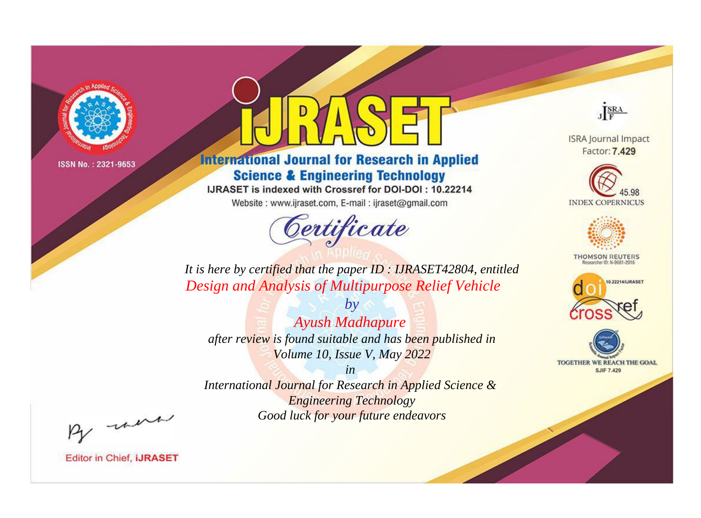

# **International Journal for Research in Applied Science & Engineering Technology**

IJRASET is indexed with Crossref for DOI-DOI: 10.22214

Website: www.ijraset.com, E-mail: ijraset@gmail.com



JERA

**ISRA Journal Impact** Factor: 7.429





**THOMSON REUTERS** 



TOGETHER WE REACH THE GOAL **SJIF 7.429** 

*It is here by certified that the paper ID : IJRASET42804, entitled Design and Analysis of Multipurpose Relief Vehicle*

*by Ayush Madhapure after review is found suitable and has been published in Volume 10, Issue V, May 2022*

*in* 

*International Journal for Research in Applied Science & Engineering Technology Good luck for your future endeavors*

By morn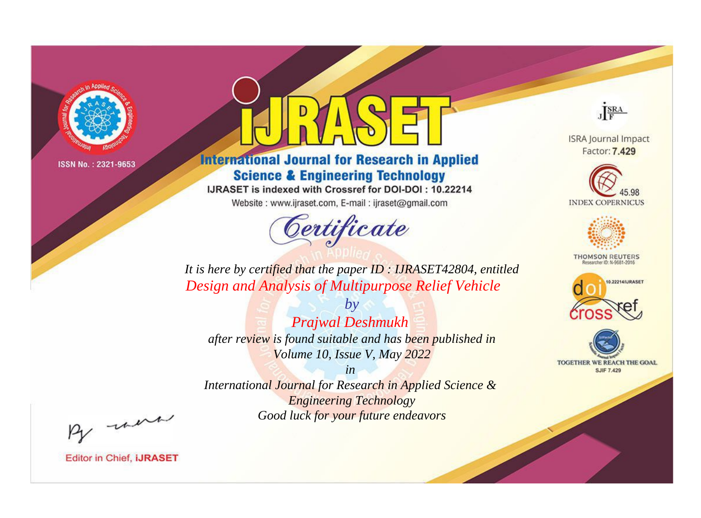

# **International Journal for Research in Applied Science & Engineering Technology**

IJRASET is indexed with Crossref for DOI-DOI: 10.22214

Website: www.ijraset.com, E-mail: ijraset@gmail.com



JERA

**ISRA Journal Impact** Factor: 7.429





**THOMSON REUTERS** 



TOGETHER WE REACH THE GOAL **SJIF 7.429** 

*It is here by certified that the paper ID : IJRASET42804, entitled Design and Analysis of Multipurpose Relief Vehicle*

*by Prajwal Deshmukh after review is found suitable and has been published in Volume 10, Issue V, May 2022*

*in International Journal for Research in Applied Science &* 

*Engineering Technology Good luck for your future endeavors*

By morn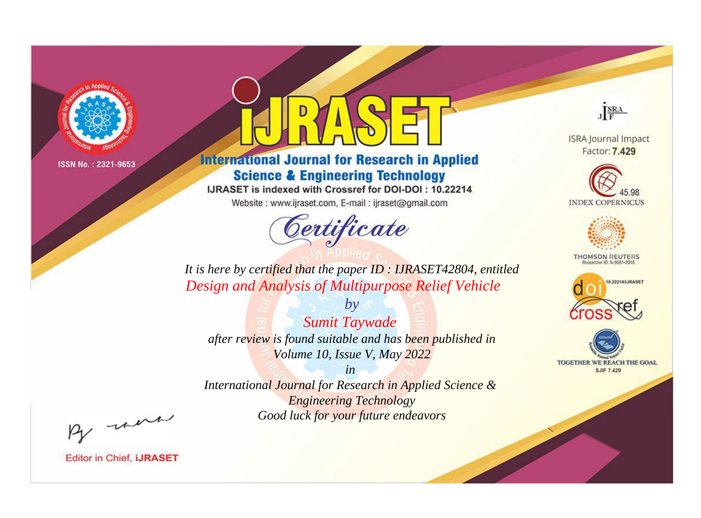

# **International Journal for Research in Applied Science & Engineering Technology**

IJRASET is indexed with Crossref for DOI-DOI: 10.22214

Website: www.ijraset.com, E-mail: ijraset@gmail.com



JERA

**ISRA Journal Impact** Factor: 7.429





**THOMSON REUTERS** 



TOGETHER WE REACH THE GOAL **SJIF 7.429** 

*It is here by certified that the paper ID : IJRASET42804, entitled Design and Analysis of Multipurpose Relief Vehicle*

*by Sumit Taywade after review is found suitable and has been published in Volume 10, Issue V, May 2022*

*in* 

*International Journal for Research in Applied Science & Engineering Technology Good luck for your future endeavors*

By morn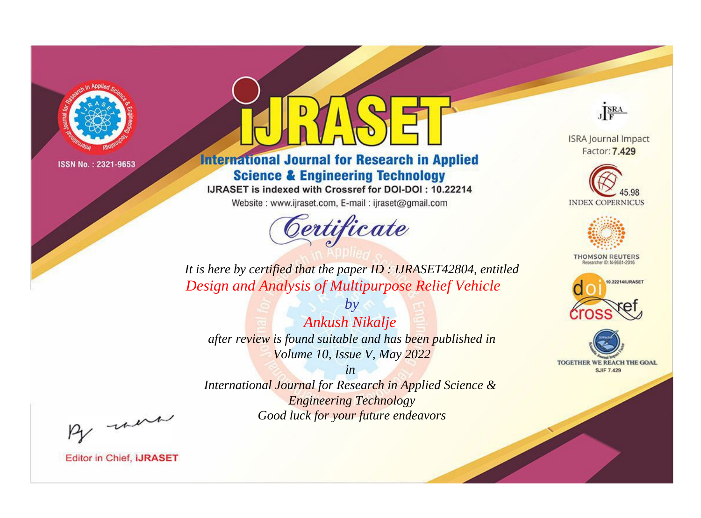

# **International Journal for Research in Applied Science & Engineering Technology**

IJRASET is indexed with Crossref for DOI-DOI: 10.22214

Website: www.ijraset.com, E-mail: ijraset@gmail.com



JERA

**ISRA Journal Impact** Factor: 7.429





**THOMSON REUTERS** 



TOGETHER WE REACH THE GOAL **SJIF 7.429** 

*It is here by certified that the paper ID : IJRASET42804, entitled Design and Analysis of Multipurpose Relief Vehicle*

*by Ankush Nikalje after review is found suitable and has been published in Volume 10, Issue V, May 2022*

*in* 

*International Journal for Research in Applied Science & Engineering Technology Good luck for your future endeavors*

By morn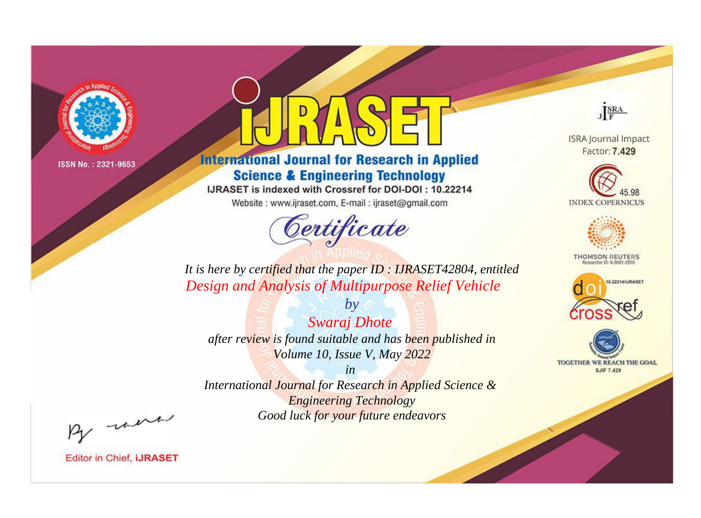

# **International Journal for Research in Applied Science & Engineering Technology**

IJRASET is indexed with Crossref for DOI-DOI: 10.22214

Website: www.ijraset.com, E-mail: ijraset@gmail.com



JERA

**ISRA Journal Impact** Factor: 7.429





**THOMSON REUTERS** 



TOGETHER WE REACH THE GOAL **SJIF 7.429** 

*It is here by certified that the paper ID : IJRASET42804, entitled Design and Analysis of Multipurpose Relief Vehicle*

*Swaraj Dhote after review is found suitable and has been published in Volume 10, Issue V, May 2022*

*by*

*in* 

*International Journal for Research in Applied Science & Engineering Technology Good luck for your future endeavors*

By morn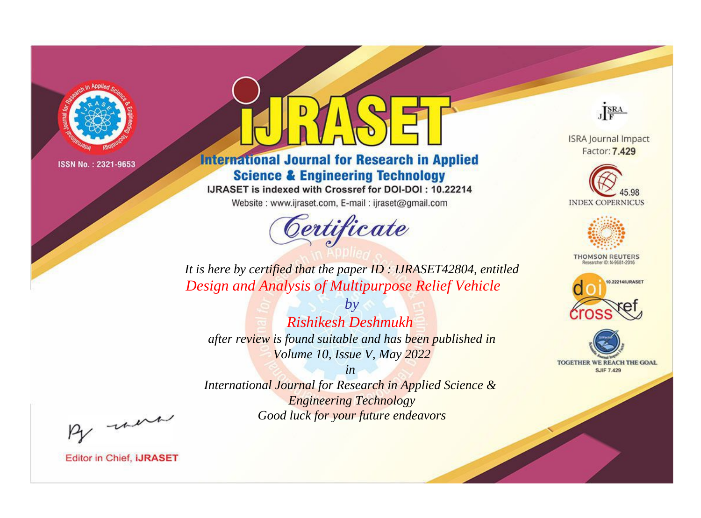

# **International Journal for Research in Applied Science & Engineering Technology**

IJRASET is indexed with Crossref for DOI-DOI: 10.22214

Website: www.ijraset.com, E-mail: ijraset@gmail.com



JERA

**ISRA Journal Impact** Factor: 7.429





**THOMSON REUTERS** 



TOGETHER WE REACH THE GOAL **SJIF 7.429** 

*It is here by certified that the paper ID : IJRASET42804, entitled Design and Analysis of Multipurpose Relief Vehicle*

*Rishikesh Deshmukh after review is found suitable and has been published in Volume 10, Issue V, May 2022*

*by*

*in International Journal for Research in Applied Science &* 

*Engineering Technology Good luck for your future endeavors*

By morn